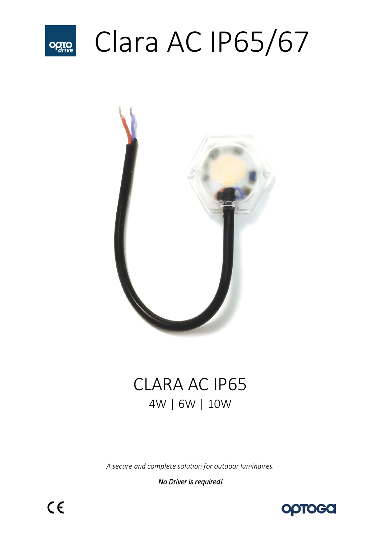

# Clara AC IP65/67



# CLARA AC IP65 4W | 6W | 10W

*A secure and complete solution for outdoor luminaires.* 

*No Driver is required!*

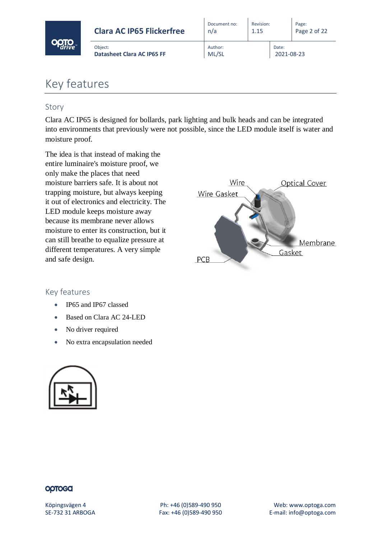|  | <b>Clara AC IP65 Flickerfree</b>             | Document no:<br>n/a | Revision:<br>1.15 |                     | Page:<br>Page 2 of 22 |
|--|----------------------------------------------|---------------------|-------------------|---------------------|-----------------------|
|  | Object:<br><b>Datasheet Clara AC IP65 FF</b> | Author:<br>ML/SL    |                   | Date:<br>2021-08-23 |                       |

# Key features

## Story

Clara AC IP65 is designed for bollards, park lighting and bulk heads and can be integrated into environments that previously were not possible, since the LED module itself is water and moisture proof.

The idea is that instead of making the entire luminaire's moisture proof, we only make the places that need moisture barriers safe. It is about not trapping moisture, but always keeping it out of electronics and electricity. The LED module keeps moisture away because its membrane never allows moisture to enter its construction, but it can still breathe to equalize pressure at different temperatures. A very simple and safe design.



#### Key features

- IP65 and IP67 classed
- Based on Clara AC 24-LED
- No driver required
- No extra encapsulation needed

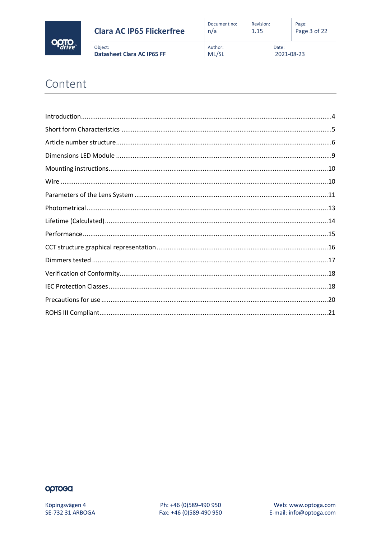

| <b>Clara AC IP65 Flickerfree</b>      | Document no:     | Revision: |                     | Page:        |
|---------------------------------------|------------------|-----------|---------------------|--------------|
|                                       | n/a              | 1.15      |                     | Page 3 of 22 |
| Object:<br>Datasheet Clara AC IP65 FF | Author:<br>ML/SL |           | Date:<br>2021-08-23 |              |

# Content

# optoca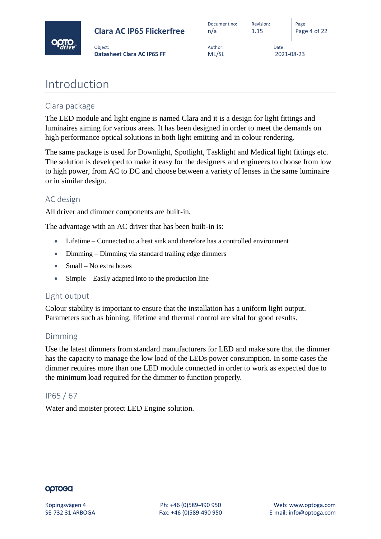

| <b>Clara AC IP65 Flickerfree</b>             | Document no:     | Revision: |                     | Page:        |
|----------------------------------------------|------------------|-----------|---------------------|--------------|
|                                              | n/a              | 1.15      |                     | Page 4 of 22 |
| Object:<br><b>Datasheet Clara AC IP65 FF</b> | Author:<br>ML/SL |           | Date:<br>2021-08-23 |              |

# <span id="page-3-0"></span>Introduction

## Clara package

The LED module and light engine is named Clara and it is a design for light fittings and luminaires aiming for various areas. It has been designed in order to meet the demands on high performance optical solutions in both light emitting and in colour rendering.

The same package is used for Downlight, Spotlight, Tasklight and Medical light fittings etc. The solution is developed to make it easy for the designers and engineers to choose from low to high power, from AC to DC and choose between a variety of lenses in the same luminaire or in similar design.

## AC design

All driver and dimmer components are built-in.

The advantage with an AC driver that has been built-in is:

- Lifetime Connected to a heat sink and therefore has a controlled environment
- Dimming Dimming via standard trailing edge dimmers
- Small No extra boxes
- Simple Easily adapted into to the production line

#### Light output

Colour stability is important to ensure that the installation has a uniform light output. Parameters such as binning, lifetime and thermal control are vital for good results.

## Dimming

Use the latest dimmers from standard manufacturers for LED and make sure that the dimmer has the capacity to manage the low load of the LEDs power consumption. In some cases the dimmer requires more than one LED module connected in order to work as expected due to the minimum load required for the dimmer to function properly.

## IP65 / 67

Water and moister protect LED Engine solution.

#### **OOTOGO**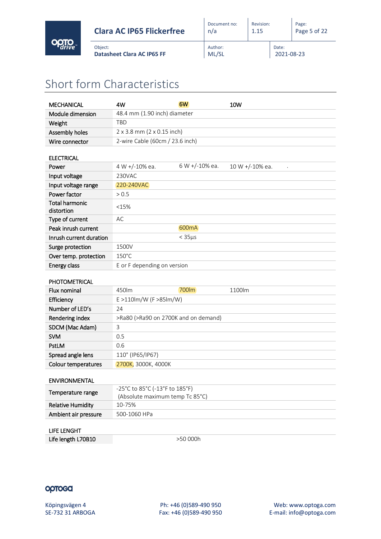

# <span id="page-4-0"></span>Short form Characteristics

Object:

| 48.4 mm (1.90 inch) diameter<br>Module dimension<br><b>TBD</b><br>Weight<br>2 x 3.8 mm (2 x 0.15 inch)<br>Assembly holes<br>2-wire Cable (60cm / 23.6 inch)<br>Wire connector<br><b>ELECTRICAL</b><br>6 W +/-10% ea.<br>4 W +/-10% ea.<br>10 W +/-10% ea.<br>Power<br>230VAC<br>Input voltage<br>Input voltage range<br>220-240VAC<br>Power factor<br>> 0.5<br><b>Total harmonic</b><br><15%<br>distortion<br>AC<br>Type of current<br>600 <sub>m</sub> A<br>Peak inrush current<br>$<$ 35 $\mu$ s<br>Inrush current duration<br>Surge protection<br>1500V<br>Over temp. protection<br>$150^{\circ}$ C<br>E or F depending on version<br>Energy class<br><b>PHOTOMETRICAL</b><br>700lm<br>450lm<br>Flux nominal<br>1100lm<br>E >110lm/W (F >85lm/W)<br>Efficiency<br>Number of LED's<br>24<br>Rendering index<br>>Ra80 (>Ra90 on 2700K and on demand)<br>SDCM (Mac Adam)<br>3<br><b>SVM</b><br>0.5<br>PstLM<br>0.6<br>Spread angle lens<br>110° (IP65/IP67) | <b>MECHANICAL</b> | 4W | 6W | 10W |  |  |  |
|-------------------------------------------------------------------------------------------------------------------------------------------------------------------------------------------------------------------------------------------------------------------------------------------------------------------------------------------------------------------------------------------------------------------------------------------------------------------------------------------------------------------------------------------------------------------------------------------------------------------------------------------------------------------------------------------------------------------------------------------------------------------------------------------------------------------------------------------------------------------------------------------------------------------------------------------------------------|-------------------|----|----|-----|--|--|--|
|                                                                                                                                                                                                                                                                                                                                                                                                                                                                                                                                                                                                                                                                                                                                                                                                                                                                                                                                                             |                   |    |    |     |  |  |  |
|                                                                                                                                                                                                                                                                                                                                                                                                                                                                                                                                                                                                                                                                                                                                                                                                                                                                                                                                                             |                   |    |    |     |  |  |  |
|                                                                                                                                                                                                                                                                                                                                                                                                                                                                                                                                                                                                                                                                                                                                                                                                                                                                                                                                                             |                   |    |    |     |  |  |  |
|                                                                                                                                                                                                                                                                                                                                                                                                                                                                                                                                                                                                                                                                                                                                                                                                                                                                                                                                                             |                   |    |    |     |  |  |  |
|                                                                                                                                                                                                                                                                                                                                                                                                                                                                                                                                                                                                                                                                                                                                                                                                                                                                                                                                                             |                   |    |    |     |  |  |  |
|                                                                                                                                                                                                                                                                                                                                                                                                                                                                                                                                                                                                                                                                                                                                                                                                                                                                                                                                                             |                   |    |    |     |  |  |  |
|                                                                                                                                                                                                                                                                                                                                                                                                                                                                                                                                                                                                                                                                                                                                                                                                                                                                                                                                                             |                   |    |    |     |  |  |  |
|                                                                                                                                                                                                                                                                                                                                                                                                                                                                                                                                                                                                                                                                                                                                                                                                                                                                                                                                                             |                   |    |    |     |  |  |  |
|                                                                                                                                                                                                                                                                                                                                                                                                                                                                                                                                                                                                                                                                                                                                                                                                                                                                                                                                                             |                   |    |    |     |  |  |  |
|                                                                                                                                                                                                                                                                                                                                                                                                                                                                                                                                                                                                                                                                                                                                                                                                                                                                                                                                                             |                   |    |    |     |  |  |  |
|                                                                                                                                                                                                                                                                                                                                                                                                                                                                                                                                                                                                                                                                                                                                                                                                                                                                                                                                                             |                   |    |    |     |  |  |  |
|                                                                                                                                                                                                                                                                                                                                                                                                                                                                                                                                                                                                                                                                                                                                                                                                                                                                                                                                                             |                   |    |    |     |  |  |  |
|                                                                                                                                                                                                                                                                                                                                                                                                                                                                                                                                                                                                                                                                                                                                                                                                                                                                                                                                                             |                   |    |    |     |  |  |  |
|                                                                                                                                                                                                                                                                                                                                                                                                                                                                                                                                                                                                                                                                                                                                                                                                                                                                                                                                                             |                   |    |    |     |  |  |  |
|                                                                                                                                                                                                                                                                                                                                                                                                                                                                                                                                                                                                                                                                                                                                                                                                                                                                                                                                                             |                   |    |    |     |  |  |  |
|                                                                                                                                                                                                                                                                                                                                                                                                                                                                                                                                                                                                                                                                                                                                                                                                                                                                                                                                                             |                   |    |    |     |  |  |  |
|                                                                                                                                                                                                                                                                                                                                                                                                                                                                                                                                                                                                                                                                                                                                                                                                                                                                                                                                                             |                   |    |    |     |  |  |  |
|                                                                                                                                                                                                                                                                                                                                                                                                                                                                                                                                                                                                                                                                                                                                                                                                                                                                                                                                                             |                   |    |    |     |  |  |  |
|                                                                                                                                                                                                                                                                                                                                                                                                                                                                                                                                                                                                                                                                                                                                                                                                                                                                                                                                                             |                   |    |    |     |  |  |  |
|                                                                                                                                                                                                                                                                                                                                                                                                                                                                                                                                                                                                                                                                                                                                                                                                                                                                                                                                                             |                   |    |    |     |  |  |  |
|                                                                                                                                                                                                                                                                                                                                                                                                                                                                                                                                                                                                                                                                                                                                                                                                                                                                                                                                                             |                   |    |    |     |  |  |  |
|                                                                                                                                                                                                                                                                                                                                                                                                                                                                                                                                                                                                                                                                                                                                                                                                                                                                                                                                                             |                   |    |    |     |  |  |  |
|                                                                                                                                                                                                                                                                                                                                                                                                                                                                                                                                                                                                                                                                                                                                                                                                                                                                                                                                                             |                   |    |    |     |  |  |  |
|                                                                                                                                                                                                                                                                                                                                                                                                                                                                                                                                                                                                                                                                                                                                                                                                                                                                                                                                                             |                   |    |    |     |  |  |  |
|                                                                                                                                                                                                                                                                                                                                                                                                                                                                                                                                                                                                                                                                                                                                                                                                                                                                                                                                                             |                   |    |    |     |  |  |  |
|                                                                                                                                                                                                                                                                                                                                                                                                                                                                                                                                                                                                                                                                                                                                                                                                                                                                                                                                                             |                   |    |    |     |  |  |  |
| Colour temperatures<br>2700K, 3000K, 4000K                                                                                                                                                                                                                                                                                                                                                                                                                                                                                                                                                                                                                                                                                                                                                                                                                                                                                                                  |                   |    |    |     |  |  |  |
| <b>ENVIRONMENTAL</b>                                                                                                                                                                                                                                                                                                                                                                                                                                                                                                                                                                                                                                                                                                                                                                                                                                                                                                                                        |                   |    |    |     |  |  |  |
| -25°C to 85°C (-13°F to 185°F)<br>Temperature range                                                                                                                                                                                                                                                                                                                                                                                                                                                                                                                                                                                                                                                                                                                                                                                                                                                                                                         |                   |    |    |     |  |  |  |
| (Absolute maximum temp Tc 85°C)                                                                                                                                                                                                                                                                                                                                                                                                                                                                                                                                                                                                                                                                                                                                                                                                                                                                                                                             |                   |    |    |     |  |  |  |
| <b>Relative Humidity</b><br>10-75%                                                                                                                                                                                                                                                                                                                                                                                                                                                                                                                                                                                                                                                                                                                                                                                                                                                                                                                          |                   |    |    |     |  |  |  |
| Ambient air pressure<br>500-1060 HPa                                                                                                                                                                                                                                                                                                                                                                                                                                                                                                                                                                                                                                                                                                                                                                                                                                                                                                                        |                   |    |    |     |  |  |  |

## LIFE LENGHT

Life length L70B10  $>50 000h$ 

#### optosa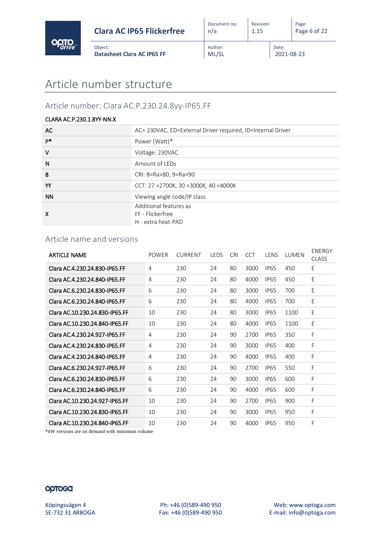

Date:

2021-08-23

Object:

# <span id="page-5-0"></span>Article number: Clara AC.P.230.24.8yy-IP65.FF

**Datasheet Clara AC IP65 FF**

#### CLARA AC.P.230.1.8YY-NN.X

| AC        | AC= 230VAC, ED=External Driver required, ID=Internal Driver      |
|-----------|------------------------------------------------------------------|
| P*        | Power (Watt)*                                                    |
| $\vee$    | Voltage: 230VAC                                                  |
| N         | Amount of LEDs                                                   |
| 8         | CRI: 8=Ra>80, 9=Ra>90                                            |
| YY        | CCT: $27 = 2700K$ , $30 = 3000K$ , $40 = 4000K$                  |
| <b>NN</b> | Viewing angle code/IP class                                      |
| X         | Additional features as<br>FF - Flickerfree<br>H - extra heat-PAD |

## Article name and versions

| <b>ARTICLE NAME</b>            | <b>POWER</b> | <b>CURRENT</b> | LEDS | <b>CRI</b> | <b>CCT</b> | <b>IFNS</b> | LUMEN | ENERGY<br><b>CLASS</b> |
|--------------------------------|--------------|----------------|------|------------|------------|-------------|-------|------------------------|
| Clara AC.4.230.24.830-IP65.FF  | 4            | 230            | 24   | 80         | 3000       | <b>IP65</b> | 450   | E                      |
| Clara AC.4.230.24.840-IP65.FF  | 4            | 230            | 24   | 80         | 4000       | <b>IP65</b> | 450   | E                      |
| Clara AC.6.230.24.830-IP65.FF  | 6            | 230            | 24   | 80         | 3000       | <b>IP65</b> | 700   | E                      |
| Clara AC.6.230.24.840-IP65.FF  | 6            | 230            | 24   | 80         | 4000       | <b>IP65</b> | 700   | E                      |
| Clara AC.10.230.24.830-IP65.FF | 10           | 230            | 24   | 80         | 3000       | <b>IP65</b> | 1100  | E                      |
| Clara AC.10.230.24.840-IP65.FF | 10           | 230            | 24   | 80         | 4000       | <b>IP65</b> | 1100  | E                      |
| Clara AC.4.230.24.927-IP65.FF  | 4            | 230            | 24   | 90         | 2700       | <b>IP65</b> | 350   | F                      |
| Clara AC.4.230.24.830-IP65.FF  | 4            | 230            | 24   | 90         | 3000       | <b>IP65</b> | 400   | F                      |
| Clara AC.4.230.24.840-IP65.FF  | 4            | 230            | 24   | 90         | 4000       | <b>IP65</b> | 400   | F                      |
| Clara AC.6.230.24.927-IP65.FF  | 6            | 230            | 24   | 90         | 2700       | <b>IP65</b> | 550   | F                      |
| Clara AC.6.230.24.830-IP65.FF  | 6            | 230            | 24   | 90         | 3000       | <b>IP65</b> | 600   | F                      |
| Clara AC.6.230.24.840-IP65.FF  | 6            | 230            | 24   | 90         | 4000       | <b>IP65</b> | 600   | F                      |
| Clara AC 10.230.24.927-IP65.FF | 10           | 230            | 24   | 90         | 2700       | <b>IP65</b> | 900   | F                      |
| Clara AC.10.230.24.830-IP65.FF | 10           | 230            | 24   | 90         | 3000       | <b>IP65</b> | 950   | F                      |
| Clara AC.10.230.24.840-IP65.FF | 10           | 230            | 24   | 90         | 4000       | <b>IP65</b> | 950   | F                      |

\*4W versions are on demand with minimum volume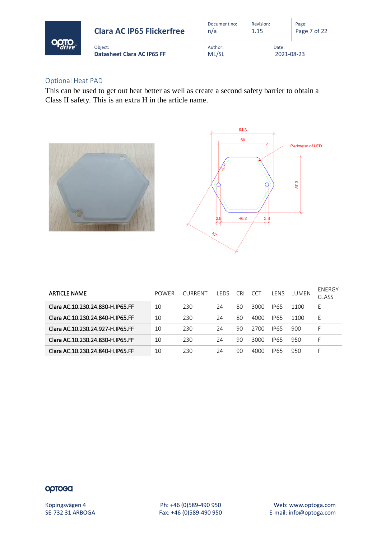|  | <b>Clara AC IP65 Flickerfree</b>      | Document no:<br>n/a | Revision:<br>1.15 |                     | Page:<br>Page 7 of 22 |
|--|---------------------------------------|---------------------|-------------------|---------------------|-----------------------|
|  | Obiect:<br>Datasheet Clara AC IP65 FF | Author:<br>ML/SL    |                   | Date:<br>2021-08-23 |                       |

#### Optional Heat PAD

This can be used to get out heat better as well as create a second safety barrier to obtain a Class II safety. This is an extra H in the article name.





| <b>ARTICLE NAME</b>              | <b>POWER</b> | <b>CURRENT</b> | I FDS | CRI. | CCT  | I FNS       | <b>TUMEN</b> | ENERGY<br><b>CLASS</b> |
|----------------------------------|--------------|----------------|-------|------|------|-------------|--------------|------------------------|
| Clara AC.10.230.24.830-H.IP65.FF | 10           | 230            | 24    | 80   | 3000 | <b>IP65</b> | 1100         | F.                     |
| Clara AC.10.230.24.840-H.IP65.FF | 10           | 230            | 24    | 80   | 4000 | <b>IP65</b> | 1100         | F.                     |
| Clara AC.10.230.24.927-H.IP65.FF | 10           | 230            | 24    | 90   | 2700 | <b>IP65</b> | 900          | F                      |
| Clara AC.10.230.24.830-H.IP65.FF | 10           | 230            | 24    | 90   | 3000 | <b>IP65</b> | 950          |                        |
| Clara AC.10.230.24.840-H.IP65.FF | 10           | 230            | 24    | 90   | 4000 | <b>IP65</b> | 950          | ⊢.                     |

#### optosa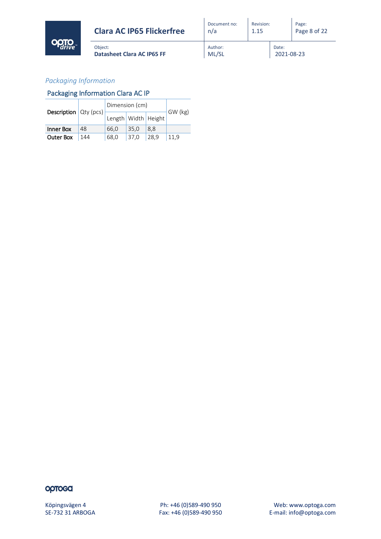

| Document no:<br>n/a | Revision:<br>1.15 |                     | Page:<br>Page 8 of 22 |
|---------------------|-------------------|---------------------|-----------------------|
| Author:<br>ML/SL    |                   | Date:<br>2021-08-23 |                       |

## *Packaging Information*

## Packaging Information Clara AC IP

Object:

|                                |     | Dimension (cm)          |      |      |         |
|--------------------------------|-----|-------------------------|------|------|---------|
| <b>Description</b> $Qty$ (pcs) |     | Length   Width   Height |      |      | GW (kg) |
| Inner Box                      | 48  | 66,0                    | 35.0 | 8.8  |         |
| <b>Outer Box</b>               | 144 | 68,0                    | 37.0 | 28,9 | 11.9    |

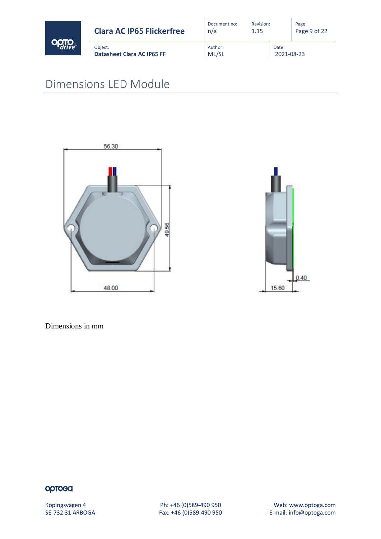

# <span id="page-8-0"></span>Dimensions LED Module





Dimensions in mm

## optosa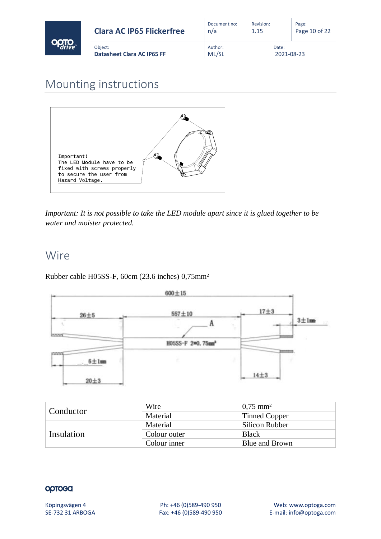| <b>Clara AC IP65 Flickerfree</b>             | Document no:<br>n/a | Revision:<br>1.15 |                     | Page:<br>Page 10 of 22 |
|----------------------------------------------|---------------------|-------------------|---------------------|------------------------|
| Obiect:<br><b>Datasheet Clara AC IP65 FF</b> | Author:<br>ML/SL    |                   | Date:<br>2021-08-23 |                        |

# <span id="page-9-0"></span>Mounting instructions



*Important: It is not possible to take the LED module apart since it is glued together to be water and moister protected.*

# <span id="page-9-1"></span>Wire

Rubber cable H05SS-F, 60cm (23.6 inches) 0,75mm²



|            | Wire         | $\mid 0.75 \text{ mm}^2$ |
|------------|--------------|--------------------------|
| Conductor  | Material     | <b>Tinned Copper</b>     |
|            | Material     | <b>Silicon Rubber</b>    |
| Insulation | Colour outer | <b>Black</b>             |
|            | Colour inner | Blue and Brown           |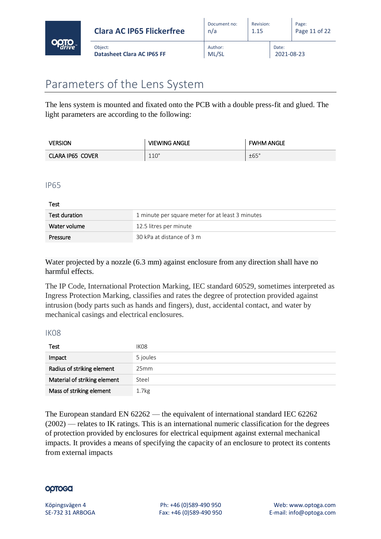

# <span id="page-10-0"></span>Parameters of the Lens System

**Pressure** 30 kPa at distance of 3 m

The lens system is mounted and fixated onto the PCB with a double press-fit and glued. The light parameters are according to the following:

| Version          | <b>VIEWING ANGLE</b> | <b>FWHM ANGLE</b> |
|------------------|----------------------|-------------------|
| CLARA IP65 COVER | $110^\circ$          | ±65°              |

#### IP65

Test Test duration 1 minute per square meter for at least 3 minutes Water volume 12.5 litres per minute

Water projected by a nozzle (6.3 mm) against enclosure from any direction shall have no harmful effects.

The IP Code, International Protection Marking, IEC standard 60529, sometimes interpreted as Ingress Protection Marking, classifies and rates the degree of protection provided against intrusion (body parts such as hands and fingers), dust, accidental contact, and water by mechanical casings and electrical enclosures.

#### IK08

| Test                         | IK <sub>08</sub>  |
|------------------------------|-------------------|
| Impact                       | 5 joules          |
| Radius of striking element   | 25mm              |
| Material of striking element | Steel             |
| Mass of striking element     | 1.7 <sub>kg</sub> |

The European standard EN 62262 — the equivalent of international standard IEC 62262 (2002) — relates to IK ratings. This is an international numeric classification for the degrees of protection provided by enclosures for electrical equipment against external mechanical impacts. It provides a means of specifying the capacity of an enclosure to protect its contents from external impacts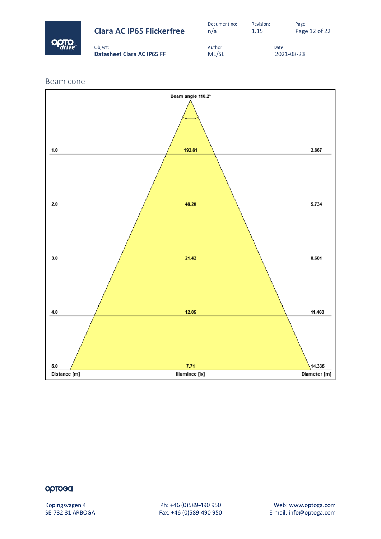| <b>Clara AC IP65 Flickerfree</b>             | Document no:<br>n/a | Revision:<br>1.15 |                     | Page:<br>Page 12 of 22 |
|----------------------------------------------|---------------------|-------------------|---------------------|------------------------|
| Obiect:<br><b>Datasheet Clara AC IP65 FF</b> | Author:<br>ML/SL    |                   | Date:<br>2021-08-23 |                        |

Beam cone



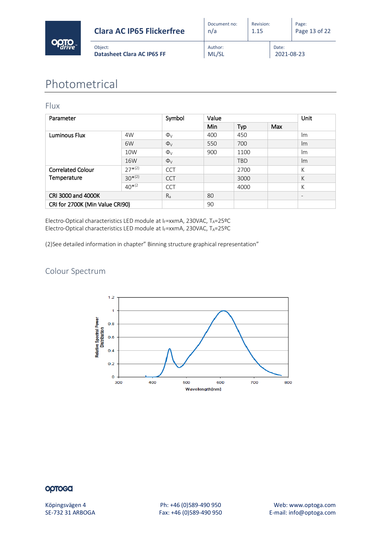

# <span id="page-12-0"></span>Photometrical

#### Flux

| Parameter                       |             | Symbol              | Value      |            |     |                          |
|---------------------------------|-------------|---------------------|------------|------------|-----|--------------------------|
|                                 |             |                     | <b>Min</b> | Typ        | Max |                          |
| Luminous Flux                   | 4W          | $\Phi$ <sub>V</sub> | 400        | 450        |     | Im                       |
|                                 | 6W          | $\Phi_V$            | 550        | 700        |     | Im                       |
|                                 | 10W         | $\Phi_{V}$          | 900        | 1100       |     | Im                       |
|                                 | 16W         | $\Phi_{V}$          |            | <b>TBD</b> |     | Im                       |
| <b>Correlated Colour</b>        | $27^{*(2)}$ | <b>CCT</b>          |            | 2700       |     | К                        |
| Temperature                     | $30^{*(2)}$ | <b>CCT</b>          |            | 3000       |     | К                        |
|                                 | $40^{*(2)}$ | <b>CCT</b>          |            | 4000       |     | К                        |
| CRI 3000 and 4000K              |             | $R_{a}$             | 80         |            |     | $\overline{\phantom{a}}$ |
| CRI for 2700K (Min Value CRI90) |             |                     | 90         |            |     |                          |

Electro-Optical characteristics LED module at IF=xxmA, 230VAC, TA=25ºC Electro-Optical characteristics LED module at IF=xxmA, 230VAC, TA=25ºC

(2)See detailed information in chapter" Binning structure graphical representation"

## Colour Spectrum

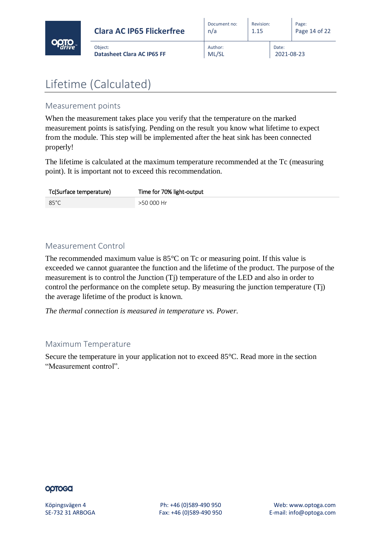

| <b>Clara AC IP65 Flickerfree</b>             |  |
|----------------------------------------------|--|
| Obiect:<br><b>Datasheet Clara AC IP65 FF</b> |  |

# <span id="page-13-0"></span>Lifetime (Calculated)

# Measurement points

When the measurement takes place you verify that the temperature on the marked measurement points is satisfying. Pending on the result you know what lifetime to expect from the module. This step will be implemented after the heat sink has been connected properly!

The lifetime is calculated at the maximum temperature recommended at the Tc (measuring point). It is important not to exceed this recommendation.

| Tc(Surface temperature) | Time for 70% light-output |
|-------------------------|---------------------------|
| 85°C                    | >50 000 Hr                |

## Measurement Control

The recommended maximum value is  $85^{\circ}$ C on Tc or measuring point. If this value is exceeded we cannot guarantee the function and the lifetime of the product. The purpose of the measurement is to control the Junction (Tj) temperature of the LED and also in order to control the performance on the complete setup. By measuring the junction temperature (Tj) the average lifetime of the product is known.

*The thermal connection is measured in temperature vs. Power.*

# Maximum Temperature

Secure the temperature in your application not to exceed 85°C. Read more in the section "Measurement control".

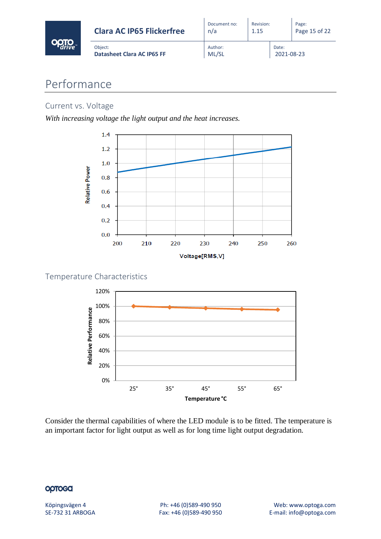| <b>Clara AC IP65 Flickerfree</b>             | Document no:<br>n/a | Revision:<br>1.15 |                     | Page:<br>Page 15 of 22 |
|----------------------------------------------|---------------------|-------------------|---------------------|------------------------|
| Obiect:<br><b>Datasheet Clara AC IP65 FF</b> | Author:<br>ML/SL    |                   | Date:<br>2021-08-23 |                        |

# <span id="page-14-0"></span>Performance

## Current vs. Voltage

*With increasing voltage the light output and the heat increases.*



## Temperature Characteristics



Consider the thermal capabilities of where the LED module is to be fitted. The temperature is an important factor for light output as well as for long time light output degradation.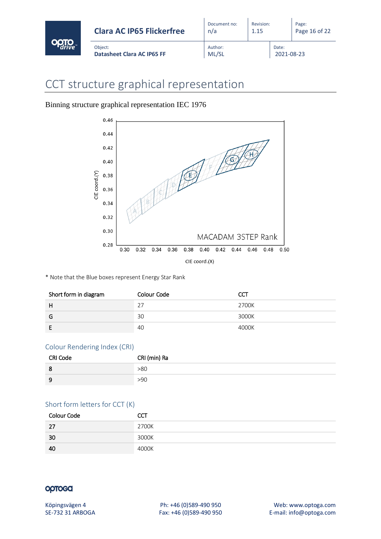| <b>Clara AC IP65 Flickerfree</b>      | Document no:<br>n/a | Revision:<br>1.15 |                     | Page:<br>Page 16 of 22 |
|---------------------------------------|---------------------|-------------------|---------------------|------------------------|
| Obiect:<br>Datasheet Clara AC IP65 FF | Author:<br>ML/SL    |                   | Date:<br>2021-08-23 |                        |

# <span id="page-15-0"></span>CCT structure graphical representation

Binning structure graphical representation IEC 1976



\* Note that the Blue boxes represent Energy Star Rank

| Short form in diagram | Colour Code | CCT   |
|-----------------------|-------------|-------|
| H                     | רר          | 2700K |
| G                     | 30          | 3000K |
|                       | 40          | 4000K |

#### Colour Rendering Index (CRI)

| <b>CRI Code</b> | CRI (min) Ra |
|-----------------|--------------|
| 8               | >80          |
| ۰Q<br>ັ         | >90          |

#### Short form letters for CCT (K)

| <b>Colour Code</b> |       |
|--------------------|-------|
| 27                 | 2700K |
| -30                | 3000K |
| -40                | 4000K |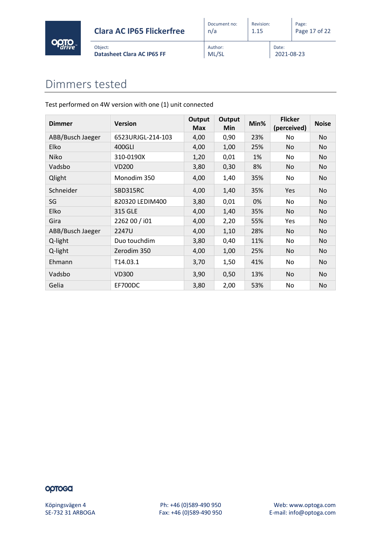

ML/SL

Revision: 1.15

Date:

2021-08-23

# <span id="page-16-0"></span>Dimmers tested

Object:

Test performed on 4W version with one (1) unit connected

**Datasheet Clara AC IP65 FF**

| <b>Dimmer</b>    | <b>Version</b>    | <b>Output</b><br><b>Max</b> | <b>Output</b><br><b>Min</b> | Min% | <b>Flicker</b><br>(perceived) | <b>Noise</b> |
|------------------|-------------------|-----------------------------|-----------------------------|------|-------------------------------|--------------|
| ABB/Busch Jaeger | 6523URJGL-214-103 | 4,00                        | 0,90                        | 23%  | No                            | No           |
| <b>Elko</b>      | 400GLI            | 4,00                        | 1,00                        | 25%  | No.                           | No           |
| <b>Niko</b>      | 310-0190X         | 1,20                        | 0,01                        | 1%   | No.                           | No           |
| Vadsbo           | <b>VD200</b>      | 3,80                        | 0,30                        | 8%   | No                            | No           |
| Qlight           | Monodim 350       | 4,00                        | 1,40                        | 35%  | No                            | No           |
| Schneider        | SBD315RC          | 4,00                        | 1,40                        | 35%  | Yes                           | No           |
| SG               | 820320 LEDIM400   | 3,80                        | 0,01                        | 0%   | No.                           | No           |
| Elko             | 315 GLE           | 4,00                        | 1,40                        | 35%  | No                            | No           |
| Gira             | 2262 00 / i01     | 4,00                        | 2,20                        | 55%  | <b>Yes</b>                    | No           |
| ABB/Busch Jaeger | 2247U             | 4,00                        | 1,10                        | 28%  | No                            | No           |
| Q-light          | Duo touchdim      | 3,80                        | 0,40                        | 11%  | No                            | No           |
| Q-light          | Zerodim 350       | 4,00                        | 1,00                        | 25%  | No                            | No           |
| Ehmann           | T14.03.1          | 3,70                        | 1,50                        | 41%  | No.                           | No           |
| Vadsbo           | <b>VD300</b>      | 3,90                        | 0,50                        | 13%  | <b>No</b>                     | No.          |
| Gelia            | EF700DC           | 3,80                        | 2,00                        | 53%  | No                            | No           |

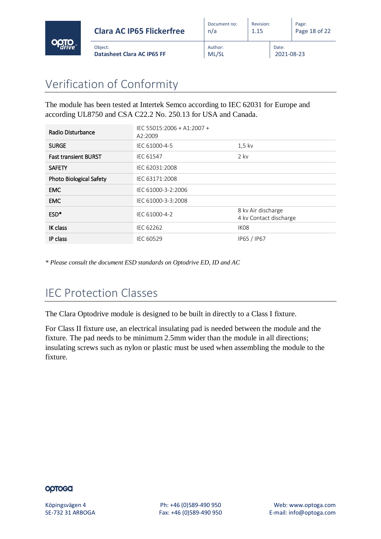

# <span id="page-17-0"></span>Verification of Conformity

Object:

The module has been tested at Intertek Semco according to IEC 62031 for Europe and according UL8750 and CSA C22.2 No. 250.13 for USA and Canada.

| Radio Disturbance              | IEC 55015:2006 + A1:2007 +<br>A2:2009 |                                              |
|--------------------------------|---------------------------------------|----------------------------------------------|
| <b>SURGE</b>                   | IEC 61000-4-5                         | $1,5$ kv                                     |
| <b>Fast transient BURST</b>    | <b>IEC 61547</b>                      | $2$ kv                                       |
| <b>SAFETY</b>                  | IEC 62031:2008                        |                                              |
| <b>Photo Biological Safety</b> | IEC 63171:2008                        |                                              |
| <b>EMC</b>                     | IEC 61000-3-2:2006                    |                                              |
| <b>EMC</b>                     | IEC 61000-3-3:2008                    |                                              |
| ESD <sup>*</sup>               | IEC 61000-4-2                         | 8 kv Air discharge<br>4 kv Contact discharge |
| IK class                       | IEC 62262                             | IK <sub>08</sub>                             |
| IP class                       | IEC 60529                             | IP65 / IP67                                  |

*\* Please consult the document ESD standards on Optodrive ED, ID and AC*

# <span id="page-17-1"></span>IEC Protection Classes

The Clara Optodrive module is designed to be built in directly to a Class I fixture.

For Class II fixture use, an electrical insulating pad is needed between the module and the fixture. The pad needs to be minimum 2.5mm wider than the module in all directions; insulating screws such as nylon or plastic must be used when assembling the module to the fixture.

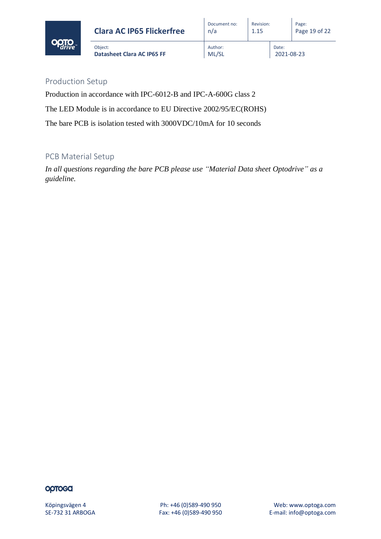

Revision: 1.15

Date:

2021-08-23

## Production Setup

Production in accordance with IPC-6012-B and IPC-A-600G class 2

The LED Module is in accordance to EU Directive 2002/95/EC(ROHS)

The bare PCB is isolation tested with 3000VDC/10mA for 10 seconds

## PCB Material Setup

*In all questions regarding the bare PCB please use "Material Data sheet Optodrive" as a guideline.*

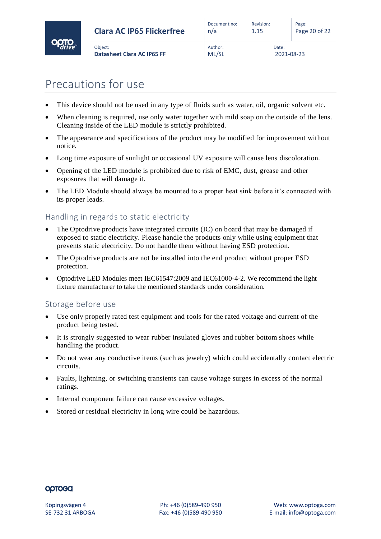

ML/SL

Revision: 1.15

Date:

2021-08-23

- <span id="page-19-0"></span>• This device should not be used in any type of fluids such as water, oil, organic solvent etc.
- When cleaning is required, use only water together with mild soap on the outside of the lens. Cleaning inside of the LED module is strictly prohibited.
- The appearance and specifications of the product may be modified for improvement without notice.
- Long time exposure of sunlight or occasional UV exposure will cause lens discoloration.
- Opening of the LED module is prohibited due to risk of EMC, dust, grease and other exposures that will damage it.
- The LED Module should always be mounted to a proper heat sink before it's connected with its proper leads.

## Handling in regards to static electricity

- The Optodrive products have integrated circuits (IC) on board that may be damaged if exposed to static electricity. Please handle the products only while using equipment that prevents static electricity. Do not handle them without having ESD protection.
- The Optodrive products are not be installed into the end product without proper ESD protection.
- Optodrive LED Modules meet IEC61547:2009 and IEC61000-4-2. We recommend the light fixture manufacturer to take the mentioned standards under consideration.

## Storage before use

- Use only properly rated test equipment and tools for the rated voltage and current of the product being tested.
- It is strongly suggested to wear rubber insulated gloves and rubber bottom shoes while handling the product.
- Do not wear any conductive items (such as jewelry) which could accidentally contact electric circuits.
- Faults, lightning, or switching transients can cause voltage surges in excess of the normal ratings.
- Internal component failure can cause excessive voltages.
- Stored or residual electricity in long wire could be hazardous.

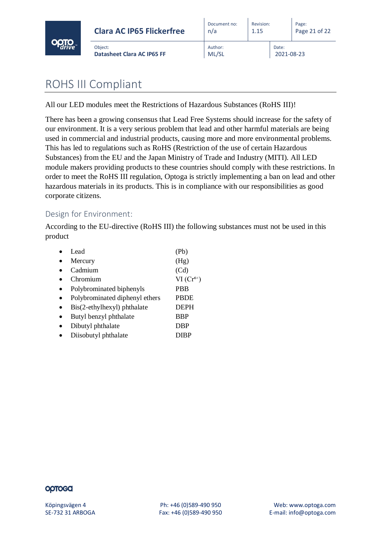

| <b>Clara AC IP65 Flickerfree</b>      | Document no:<br>n/a | Revision:<br>1.15 |                     | Page:<br>Page 21 of 22 |
|---------------------------------------|---------------------|-------------------|---------------------|------------------------|
| Object:<br>Datasheet Clara AC IP65 FF | Author:<br>ML/SL    |                   | Date:<br>2021-08-23 |                        |

 $\overline{1}$ 

# <span id="page-20-0"></span>ROHS III Compliant

All our LED modules meet the Restrictions of Hazardous Substances (RoHS III)!

There has been a growing consensus that Lead Free Systems should increase for the safety of our environment. It is a very serious problem that lead and other harmful materials are being used in commercial and industrial products, causing more and more environmental problems. This has led to regulations such as RoHS (Restriction of the use of certain Hazardous Substances) from the EU and the Japan Ministry of Trade and Industry (MITI). All LED module makers providing products to these countries should comply with these restrictions. In order to meet the RoHS III regulation, Optoga is strictly implementing a ban on lead and other hazardous materials in its products. This is in compliance with our responsibilities as good corporate citizens.

#### Design for Environment:

According to the EU-directive (RoHS III) the following substances must not be used in this product

| Lead.                          | (Pb)          |
|--------------------------------|---------------|
| Mercury                        | (Hg)          |
| Cadmium                        | (Cd)          |
| Chromium                       | $VI(Cr^{6+})$ |
| Polybrominated biphenyls       | <b>PBB</b>    |
| Polybrominated diphenyl ethers | <b>PBDE</b>   |
| Bis(2-ethylhexyl) phthalate    | <b>DEPH</b>   |
| Butyl benzyl phthalate         | <b>BBP</b>    |
| Dibutyl phthalate              | <b>DBP</b>    |
| Diisobutyl phthalate           | DIBP          |
|                                |               |